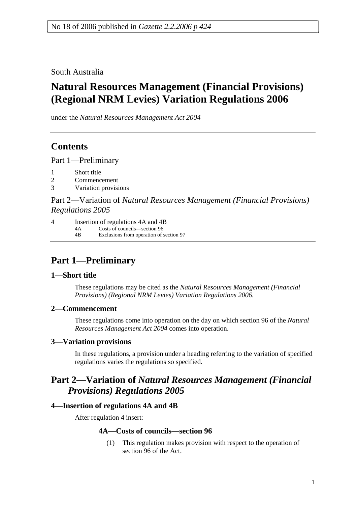South Australia

# **Natural Resources Management (Financial Provisions) (Regional NRM Levies) Variation Regulations 2006**

under the *Natural Resources Management Act 2004*

# **Contents**

Part 1—Preliminary

- 1 Short title
- 2 Commencement
- 3 Variation provisions

Part 2—Variation of *Natural Resources Management (Financial Provisions) Regulations 2005*

4 Insertion of regulations 4A and 4B

4A Costs of councils—section 96 4B Exclusions from operation of section 97

# **Part 1—Preliminary**

### **1—Short title**

These regulations may be cited as the *Natural Resources Management (Financial Provisions) (Regional NRM Levies) Variation Regulations 2006*.

### **2—Commencement**

These regulations come into operation on the day on which section 96 of the *Natural Resources Management Act 2004* comes into operation.

### **3—Variation provisions**

In these regulations, a provision under a heading referring to the variation of specified regulations varies the regulations so specified.

# **Part 2—Variation of** *Natural Resources Management (Financial Provisions) Regulations 2005*

### **4—Insertion of regulations 4A and 4B**

After regulation 4 insert:

## **4A—Costs of councils—section 96**

 (1) This regulation makes provision with respect to the operation of section 96 of the Act.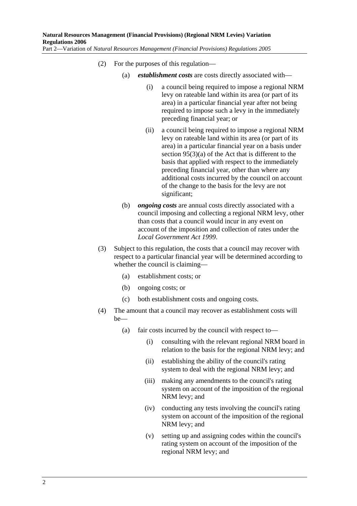- (2) For the purposes of this regulation—
	- (a) *establishment costs* are costs directly associated with—
		- (i) a council being required to impose a regional NRM levy on rateable land within its area (or part of its area) in a particular financial year after not being required to impose such a levy in the immediately preceding financial year; or
		- (ii) a council being required to impose a regional NRM levy on rateable land within its area (or part of its area) in a particular financial year on a basis under section 95(3)(a) of the Act that is different to the basis that applied with respect to the immediately preceding financial year, other than where any additional costs incurred by the council on account of the change to the basis for the levy are not significant;
	- (b) *ongoing costs* are annual costs directly associated with a council imposing and collecting a regional NRM levy, other than costs that a council would incur in any event on account of the imposition and collection of rates under the *Local Government Act 1999*.
- (3) Subject to this regulation, the costs that a council may recover with respect to a particular financial year will be determined according to whether the council is claiming—
	- (a) establishment costs; or
	- (b) ongoing costs; or
	- (c) both establishment costs and ongoing costs.
- (4) The amount that a council may recover as establishment costs will be—
	- (a) fair costs incurred by the council with respect to—
		- (i) consulting with the relevant regional NRM board in relation to the basis for the regional NRM levy; and
		- (ii) establishing the ability of the council's rating system to deal with the regional NRM levy; and
		- (iii) making any amendments to the council's rating system on account of the imposition of the regional NRM levy; and
		- (iv) conducting any tests involving the council's rating system on account of the imposition of the regional NRM levy; and
		- (v) setting up and assigning codes within the council's rating system on account of the imposition of the regional NRM levy; and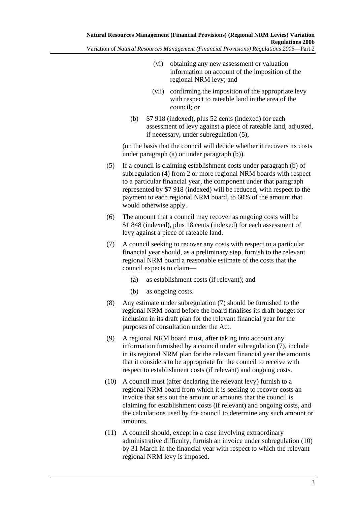- (vi) obtaining any new assessment or valuation information on account of the imposition of the regional NRM levy; and
- (vii) confirming the imposition of the appropriate levy with respect to rateable land in the area of the council; or
- (b) \$7 918 (indexed), plus 52 cents (indexed) for each assessment of levy against a piece of rateable land, adjusted, if necessary, under subregulation (5),

(on the basis that the council will decide whether it recovers its costs under paragraph (a) or under paragraph (b)).

- (5) If a council is claiming establishment costs under paragraph (b) of subregulation (4) from 2 or more regional NRM boards with respect to a particular financial year, the component under that paragraph represented by \$7 918 (indexed) will be reduced, with respect to the payment to each regional NRM board, to 60% of the amount that would otherwise apply.
- (6) The amount that a council may recover as ongoing costs will be \$1 848 (indexed), plus 18 cents (indexed) for each assessment of levy against a piece of rateable land.
- (7) A council seeking to recover any costs with respect to a particular financial year should, as a preliminary step, furnish to the relevant regional NRM board a reasonable estimate of the costs that the council expects to claim—
	- (a) as establishment costs (if relevant); and
	- (b) as ongoing costs.
- (8) Any estimate under subregulation (7) should be furnished to the regional NRM board before the board finalises its draft budget for inclusion in its draft plan for the relevant financial year for the purposes of consultation under the Act.
- (9) A regional NRM board must, after taking into account any information furnished by a council under subregulation (7), include in its regional NRM plan for the relevant financial year the amounts that it considers to be appropriate for the council to receive with respect to establishment costs (if relevant) and ongoing costs.
- (10) A council must (after declaring the relevant levy) furnish to a regional NRM board from which it is seeking to recover costs an invoice that sets out the amount or amounts that the council is claiming for establishment costs (if relevant) and ongoing costs, and the calculations used by the council to determine any such amount or amounts.
- (11) A council should, except in a case involving extraordinary administrative difficulty, furnish an invoice under subregulation (10) by 31 March in the financial year with respect to which the relevant regional NRM levy is imposed.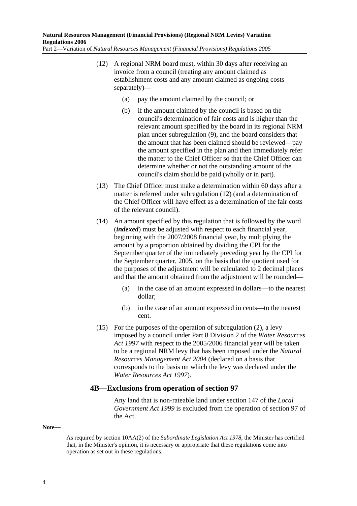- (12) A regional NRM board must, within 30 days after receiving an invoice from a council (treating any amount claimed as establishment costs and any amount claimed as ongoing costs separately)—
	- (a) pay the amount claimed by the council; or
	- (b) if the amount claimed by the council is based on the council's determination of fair costs and is higher than the relevant amount specified by the board in its regional NRM plan under subregulation (9), and the board considers that the amount that has been claimed should be reviewed—pay the amount specified in the plan and then immediately refer the matter to the Chief Officer so that the Chief Officer can determine whether or not the outstanding amount of the council's claim should be paid (wholly or in part).
- (13) The Chief Officer must make a determination within 60 days after a matter is referred under subregulation (12) (and a determination of the Chief Officer will have effect as a determination of the fair costs of the relevant council).
- (14) An amount specified by this regulation that is followed by the word (*indexed*) must be adjusted with respect to each financial year, beginning with the 2007/2008 financial year, by multiplying the amount by a proportion obtained by dividing the CPI for the September quarter of the immediately preceding year by the CPI for the September quarter, 2005, on the basis that the quotient used for the purposes of the adjustment will be calculated to 2 decimal places and that the amount obtained from the adjustment will be rounded—
	- (a) in the case of an amount expressed in dollars—to the nearest dollar;
	- (b) in the case of an amount expressed in cents—to the nearest cent.
- (15) For the purposes of the operation of subregulation (2), a levy imposed by a council under Part 8 Division 2 of the *Water Resources Act 1997* with respect to the 2005/2006 financial year will be taken to be a regional NRM levy that has been imposed under the *Natural Resources Management Act 2004* (declared on a basis that corresponds to the basis on which the levy was declared under the *Water Resources Act 1997*).

### **4B—Exclusions from operation of section 97**

Any land that is non-rateable land under section 147 of the *Local Government Act 1999* is excluded from the operation of section 97 of the Act.

#### **Note—**

As required by section 10AA(2) of the *Subordinate Legislation Act 1978*, the Minister has certified that, in the Minister's opinion, it is necessary or appropriate that these regulations come into operation as set out in these regulations.